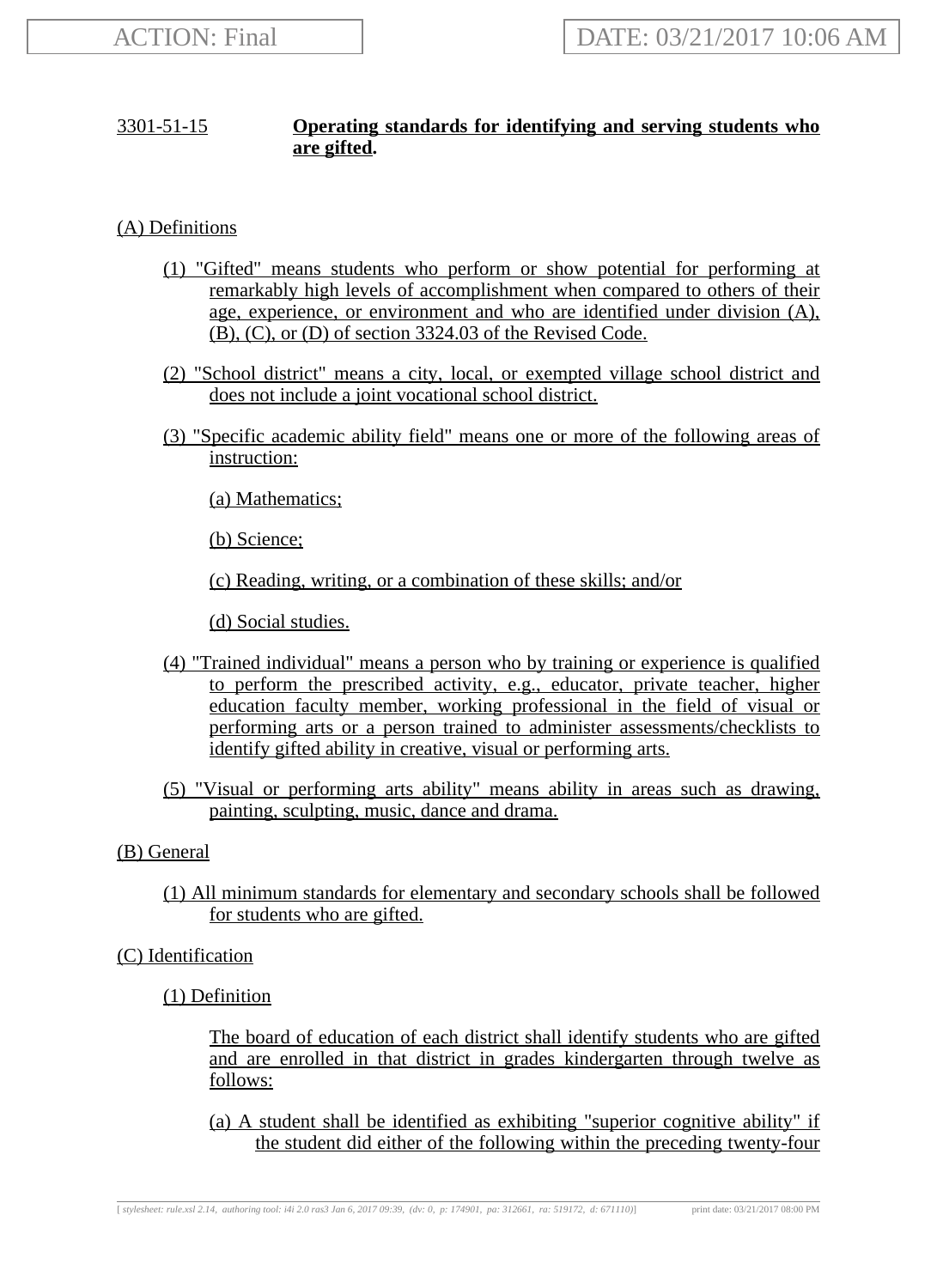# 3301-51-15 **Operating standards for identifying and serving students who are gifted.**

(A) Definitions

- (1) "Gifted" means students who perform or show potential for performing at remarkably high levels of accomplishment when compared to others of their age, experience, or environment and who are identified under division (A), (B), (C), or (D) of section 3324.03 of the Revised Code.
- (2) "School district" means a city, local, or exempted village school district and does not include a joint vocational school district.
- (3) "Specific academic ability field" means one or more of the following areas of instruction:

(a) Mathematics;

(b) Science;

(c) Reading, writing, or a combination of these skills; and/or

(d) Social studies.

- (4) "Trained individual" means a person who by training or experience is qualified to perform the prescribed activity, e.g., educator, private teacher, higher education faculty member, working professional in the field of visual or performing arts or a person trained to administer assessments/checklists to identify gifted ability in creative, visual or performing arts.
- (5) "Visual or performing arts ability" means ability in areas such as drawing, painting, sculpting, music, dance and drama.

# (B) General

(1) All minimum standards for elementary and secondary schools shall be followed for students who are gifted.

(C) Identification

(1) Definition

The board of education of each district shall identify students who are gifted and are enrolled in that district in grades kindergarten through twelve as follows:

(a) A student shall be identified as exhibiting "superior cognitive ability" if the student did either of the following within the preceding twenty-four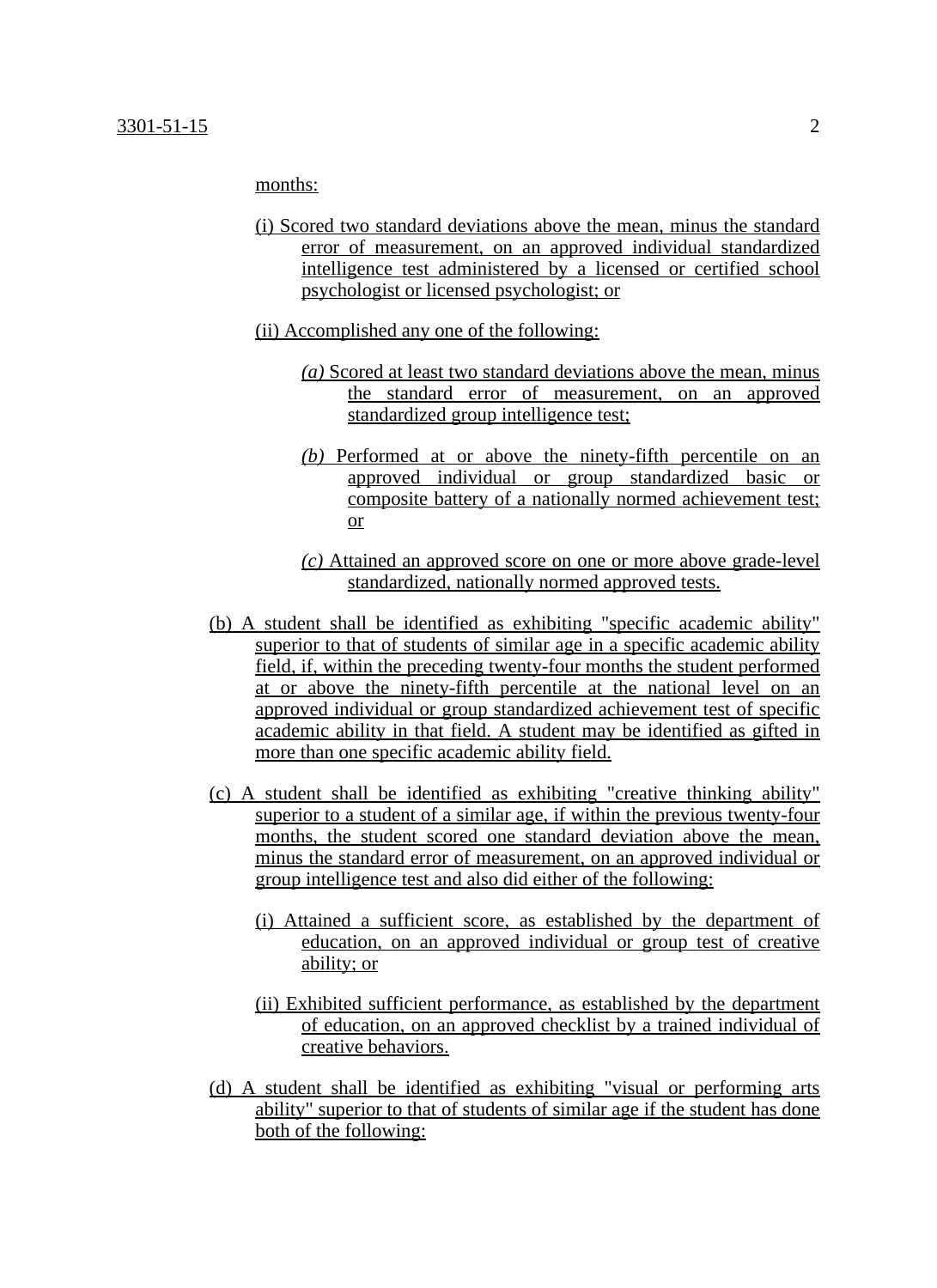months:

- (i) Scored two standard deviations above the mean, minus the standard error of measurement, on an approved individual standardized intelligence test administered by a licensed or certified school psychologist or licensed psychologist; or
- (ii) Accomplished any one of the following:
	- *(a)* Scored at least two standard deviations above the mean, minus the standard error of measurement, on an approved standardized group intelligence test;
	- *(b)* Performed at or above the ninety-fifth percentile on an approved individual or group standardized basic or composite battery of a nationally normed achievement test; or
	- *(c)* Attained an approved score on one or more above grade-level standardized, nationally normed approved tests.
- (b) A student shall be identified as exhibiting "specific academic ability" superior to that of students of similar age in a specific academic ability field, if, within the preceding twenty-four months the student performed at or above the ninety-fifth percentile at the national level on an approved individual or group standardized achievement test of specific academic ability in that field. A student may be identified as gifted in more than one specific academic ability field.
- (c) A student shall be identified as exhibiting "creative thinking ability" superior to a student of a similar age, if within the previous twenty-four months, the student scored one standard deviation above the mean, minus the standard error of measurement, on an approved individual or group intelligence test and also did either of the following:
	- (i) Attained a sufficient score, as established by the department of education, on an approved individual or group test of creative ability; or
	- (ii) Exhibited sufficient performance, as established by the department of education, on an approved checklist by a trained individual of creative behaviors.
- (d) A student shall be identified as exhibiting "visual or performing arts ability" superior to that of students of similar age if the student has done both of the following: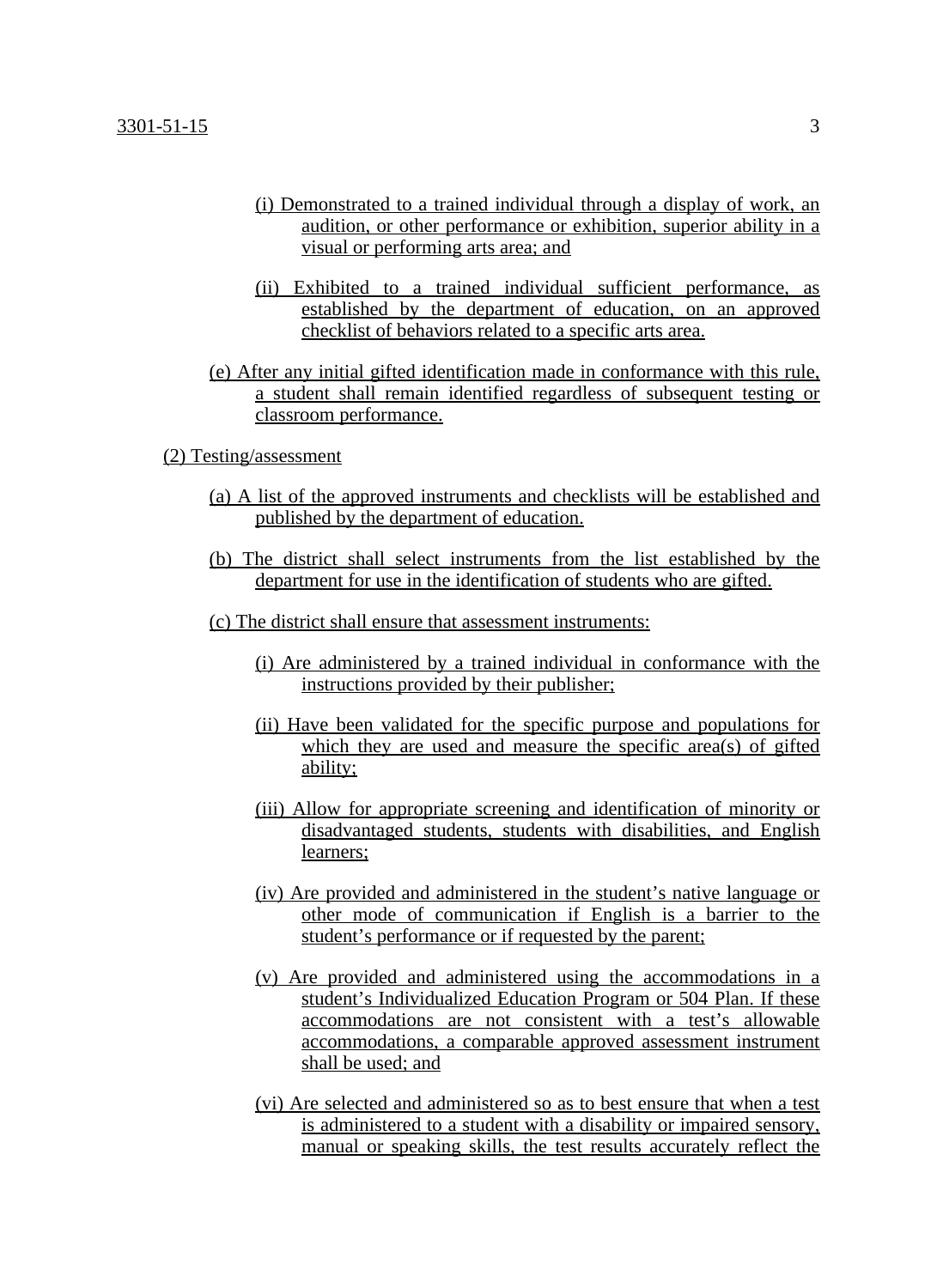#### 3301-51-15 3

- (i) Demonstrated to a trained individual through a display of work, an audition, or other performance or exhibition, superior ability in a visual or performing arts area; and
- (ii) Exhibited to a trained individual sufficient performance, as established by the department of education, on an approved checklist of behaviors related to a specific arts area.
- (e) After any initial gifted identification made in conformance with this rule, a student shall remain identified regardless of subsequent testing or classroom performance.

#### (2) Testing/assessment

- (a) A list of the approved instruments and checklists will be established and published by the department of education.
- (b) The district shall select instruments from the list established by the department for use in the identification of students who are gifted.
- (c) The district shall ensure that assessment instruments:
	- (i) Are administered by a trained individual in conformance with the instructions provided by their publisher;
	- (ii) Have been validated for the specific purpose and populations for which they are used and measure the specific area(s) of gifted ability;
	- (iii) Allow for appropriate screening and identification of minority or disadvantaged students, students with disabilities, and English learners;
	- (iv) Are provided and administered in the student's native language or other mode of communication if English is a barrier to the student's performance or if requested by the parent;
	- (v) Are provided and administered using the accommodations in a student's Individualized Education Program or 504 Plan. If these accommodations are not consistent with a test's allowable accommodations, a comparable approved assessment instrument shall be used; and
	- (vi) Are selected and administered so as to best ensure that when a test is administered to a student with a disability or impaired sensory, manual or speaking skills, the test results accurately reflect the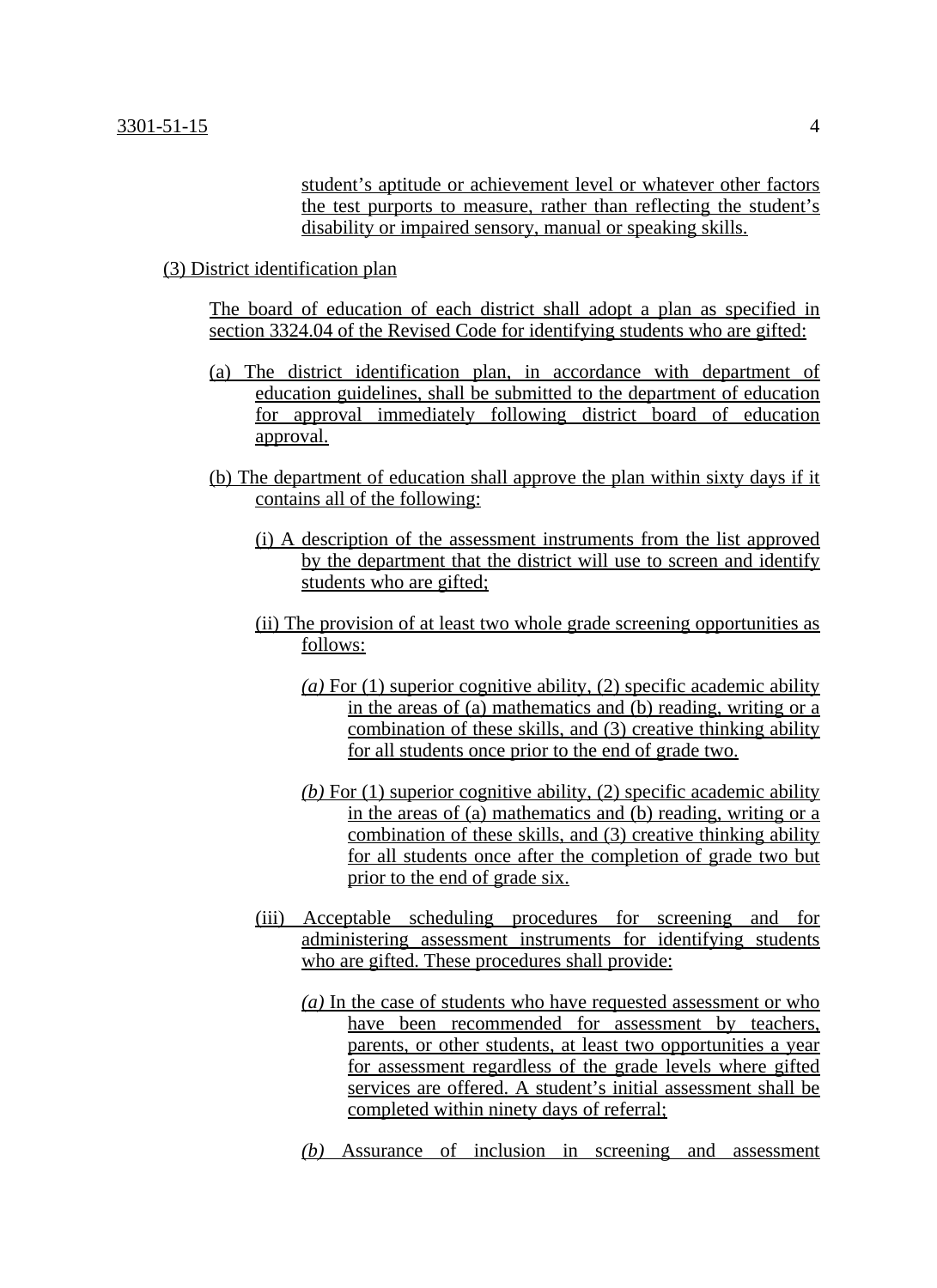student's aptitude or achievement level or whatever other factors the test purports to measure, rather than reflecting the student's disability or impaired sensory, manual or speaking skills.

## (3) District identification plan

The board of education of each district shall adopt a plan as specified in section 3324.04 of the Revised Code for identifying students who are gifted:

- (a) The district identification plan, in accordance with department of education guidelines, shall be submitted to the department of education for approval immediately following district board of education approval.
- (b) The department of education shall approve the plan within sixty days if it contains all of the following:
	- (i) A description of the assessment instruments from the list approved by the department that the district will use to screen and identify students who are gifted;
	- (ii) The provision of at least two whole grade screening opportunities as follows:
		- *(a)* For (1) superior cognitive ability, (2) specific academic ability in the areas of (a) mathematics and (b) reading, writing or a combination of these skills, and (3) creative thinking ability for all students once prior to the end of grade two.
		- *(b)* For (1) superior cognitive ability, (2) specific academic ability in the areas of (a) mathematics and (b) reading, writing or a combination of these skills, and (3) creative thinking ability for all students once after the completion of grade two but prior to the end of grade six.
	- (iii) Acceptable scheduling procedures for screening and for administering assessment instruments for identifying students who are gifted. These procedures shall provide:
		- *(a)* In the case of students who have requested assessment or who have been recommended for assessment by teachers, parents, or other students, at least two opportunities a year for assessment regardless of the grade levels where gifted services are offered. A student's initial assessment shall be completed within ninety days of referral;
		- *(b)* Assurance of inclusion in screening and assessment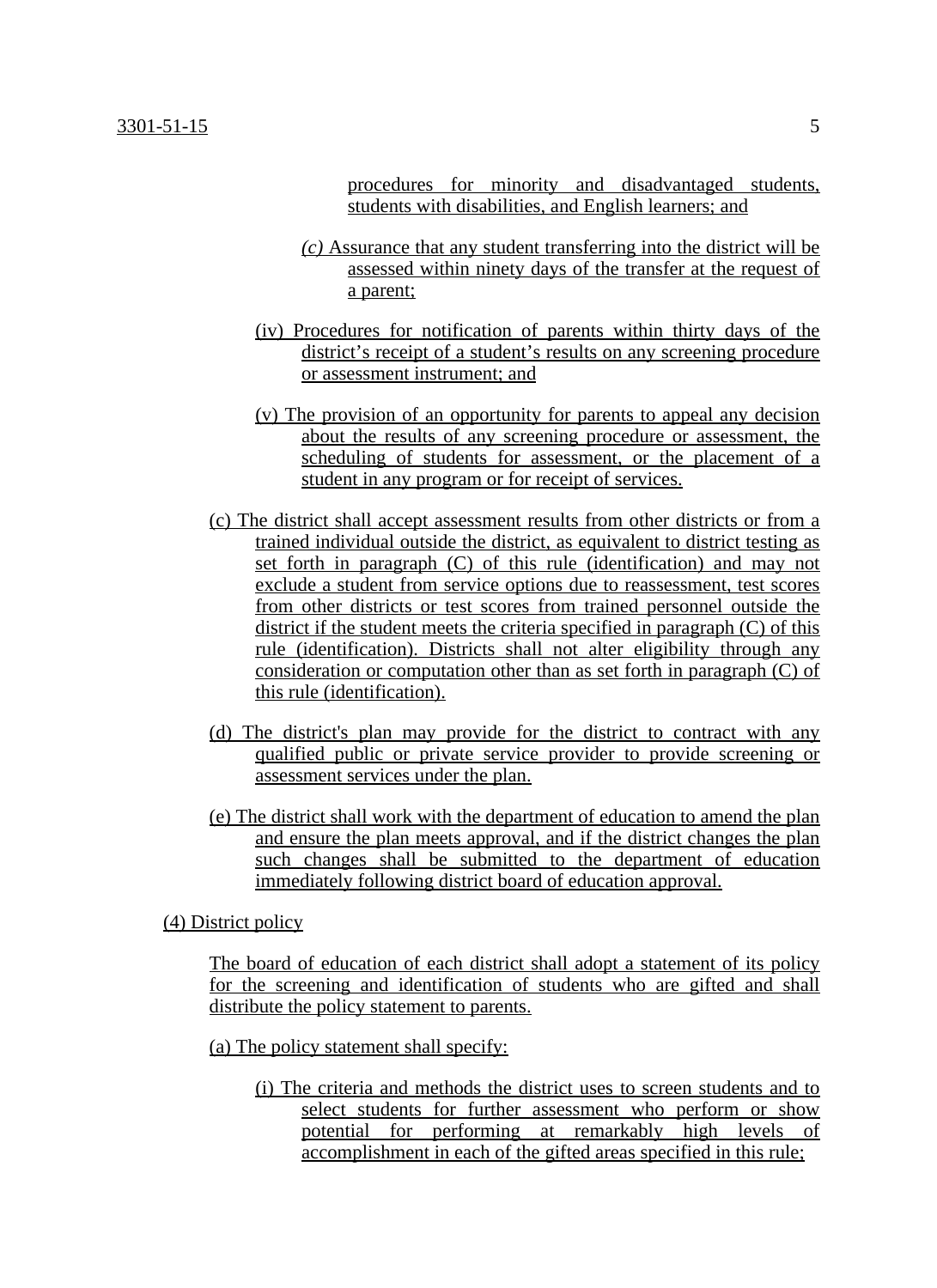procedures for minority and disadvantaged students, students with disabilities, and English learners; and

- *(c)* Assurance that any student transferring into the district will be assessed within ninety days of the transfer at the request of a parent;
- (iv) Procedures for notification of parents within thirty days of the district's receipt of a student's results on any screening procedure or assessment instrument; and
- (v) The provision of an opportunity for parents to appeal any decision about the results of any screening procedure or assessment, the scheduling of students for assessment, or the placement of a student in any program or for receipt of services.
- (c) The district shall accept assessment results from other districts or from a trained individual outside the district, as equivalent to district testing as set forth in paragraph (C) of this rule (identification) and may not exclude a student from service options due to reassessment, test scores from other districts or test scores from trained personnel outside the district if the student meets the criteria specified in paragraph (C) of this rule (identification). Districts shall not alter eligibility through any consideration or computation other than as set forth in paragraph (C) of this rule (identification).
- (d) The district's plan may provide for the district to contract with any qualified public or private service provider to provide screening or assessment services under the plan.
- (e) The district shall work with the department of education to amend the plan and ensure the plan meets approval, and if the district changes the plan such changes shall be submitted to the department of education immediately following district board of education approval.

(4) District policy

The board of education of each district shall adopt a statement of its policy for the screening and identification of students who are gifted and shall distribute the policy statement to parents.

- (a) The policy statement shall specify:
	- (i) The criteria and methods the district uses to screen students and to select students for further assessment who perform or show potential for performing at remarkably high levels of accomplishment in each of the gifted areas specified in this rule;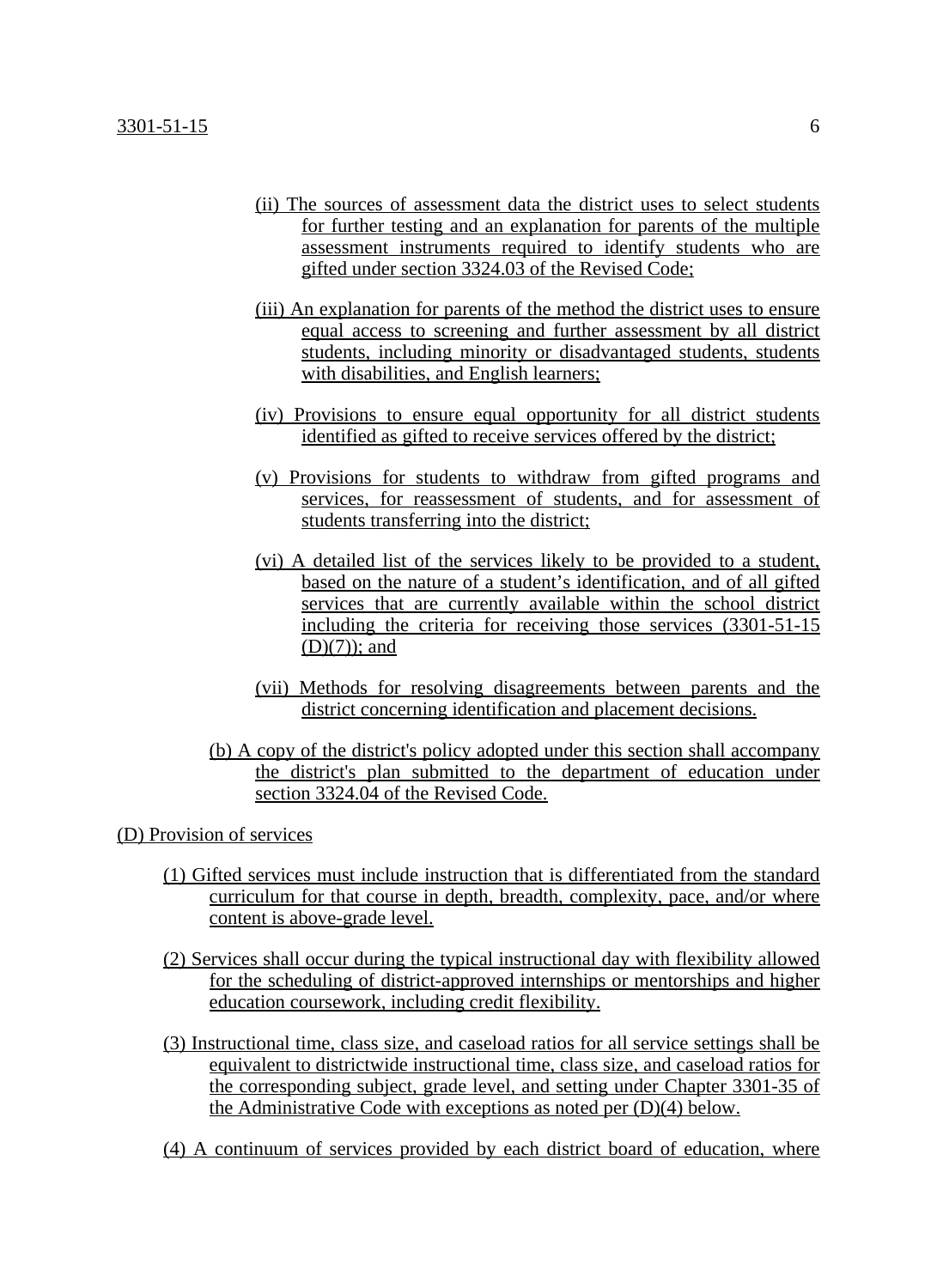- (ii) The sources of assessment data the district uses to select students for further testing and an explanation for parents of the multiple assessment instruments required to identify students who are gifted under section 3324.03 of the Revised Code;
- (iii) An explanation for parents of the method the district uses to ensure equal access to screening and further assessment by all district students, including minority or disadvantaged students, students with disabilities, and English learners;
- (iv) Provisions to ensure equal opportunity for all district students identified as gifted to receive services offered by the district;
- (v) Provisions for students to withdraw from gifted programs and services, for reassessment of students, and for assessment of students transferring into the district;
- (vi) A detailed list of the services likely to be provided to a student, based on the nature of a student's identification, and of all gifted services that are currently available within the school district including the criteria for receiving those services (3301-51-15 (D)(7)); and
- (vii) Methods for resolving disagreements between parents and the district concerning identification and placement decisions.
- (b) A copy of the district's policy adopted under this section shall accompany the district's plan submitted to the department of education under section 3324.04 of the Revised Code.

### (D) Provision of services

- (1) Gifted services must include instruction that is differentiated from the standard curriculum for that course in depth, breadth, complexity, pace, and/or where content is above-grade level.
- (2) Services shall occur during the typical instructional day with flexibility allowed for the scheduling of district-approved internships or mentorships and higher education coursework, including credit flexibility.
- (3) Instructional time, class size, and caseload ratios for all service settings shall be equivalent to districtwide instructional time, class size, and caseload ratios for the corresponding subject, grade level, and setting under Chapter 3301-35 of the Administrative Code with exceptions as noted per (D)(4) below.
- (4) A continuum of services provided by each district board of education, where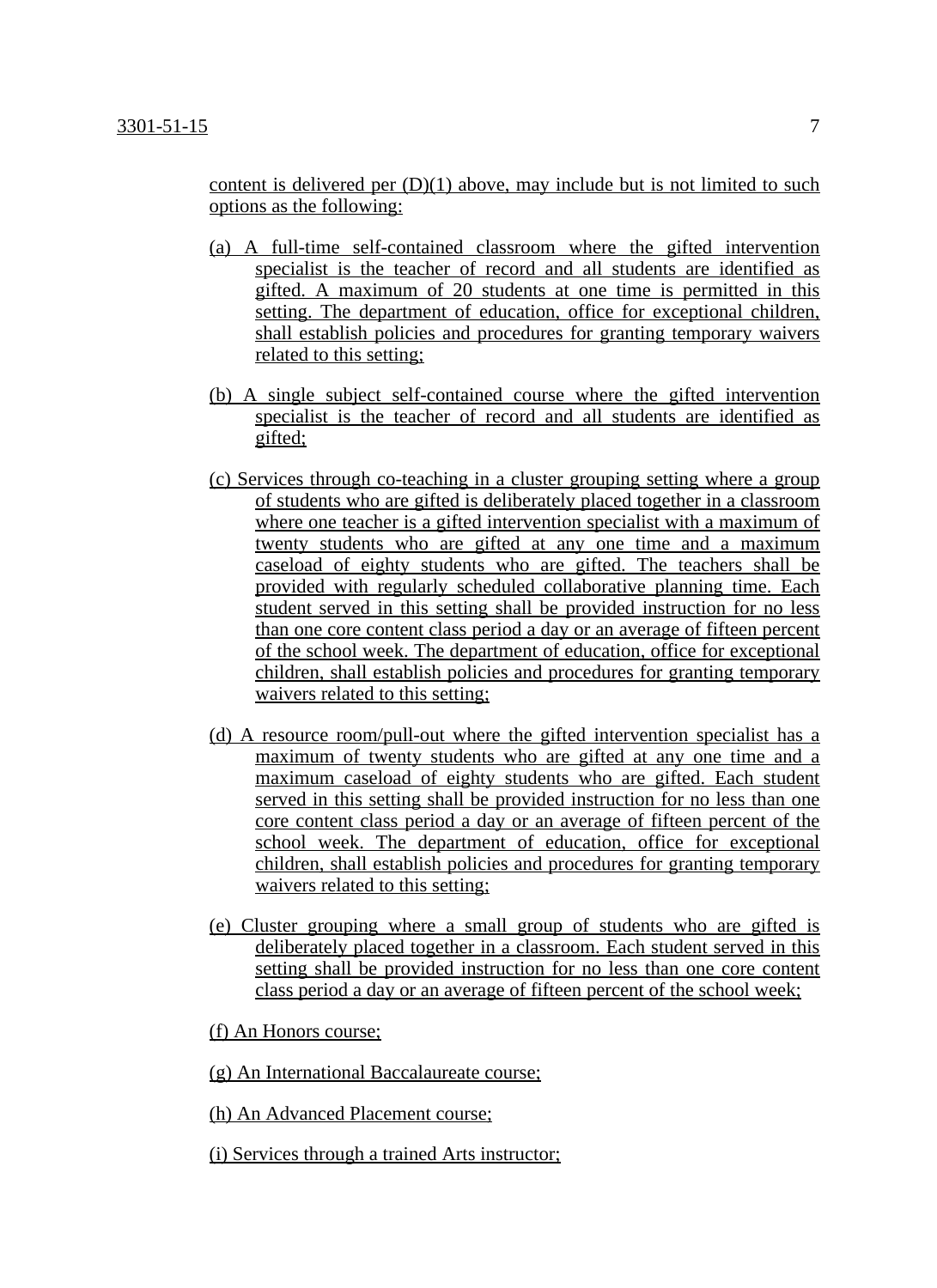content is delivered per  $(D)(1)$  above, may include but is not limited to such options as the following:

- (a) A full-time self-contained classroom where the gifted intervention specialist is the teacher of record and all students are identified as gifted. A maximum of 20 students at one time is permitted in this setting. The department of education, office for exceptional children, shall establish policies and procedures for granting temporary waivers related to this setting;
- (b) A single subject self-contained course where the gifted intervention specialist is the teacher of record and all students are identified as gifted;
- (c) Services through co-teaching in a cluster grouping setting where a group of students who are gifted is deliberately placed together in a classroom where one teacher is a gifted intervention specialist with a maximum of twenty students who are gifted at any one time and a maximum caseload of eighty students who are gifted. The teachers shall be provided with regularly scheduled collaborative planning time. Each student served in this setting shall be provided instruction for no less than one core content class period a day or an average of fifteen percent of the school week. The department of education, office for exceptional children, shall establish policies and procedures for granting temporary waivers related to this setting;
- (d) A resource room/pull-out where the gifted intervention specialist has a maximum of twenty students who are gifted at any one time and a maximum caseload of eighty students who are gifted. Each student served in this setting shall be provided instruction for no less than one core content class period a day or an average of fifteen percent of the school week. The department of education, office for exceptional children, shall establish policies and procedures for granting temporary waivers related to this setting;
- (e) Cluster grouping where a small group of students who are gifted is deliberately placed together in a classroom. Each student served in this setting shall be provided instruction for no less than one core content class period a day or an average of fifteen percent of the school week;
- (f) An Honors course;
- (g) An International Baccalaureate course;
- (h) An Advanced Placement course;
- (i) Services through a trained Arts instructor;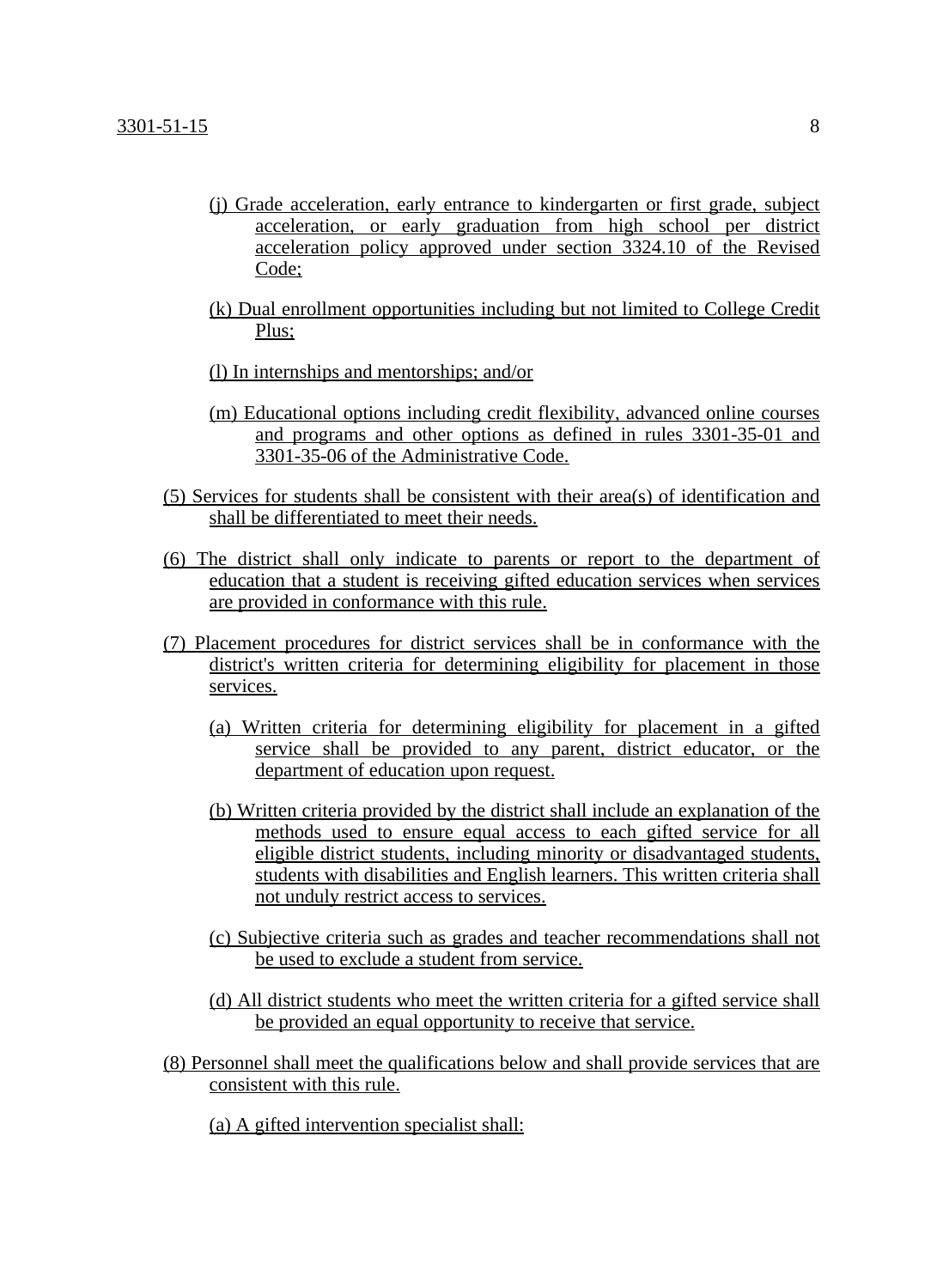- (j) Grade acceleration, early entrance to kindergarten or first grade, subject acceleration, or early graduation from high school per district acceleration policy approved under section 3324.10 of the Revised Code;
- (k) Dual enrollment opportunities including but not limited to College Credit Plus;
- (l) In internships and mentorships; and/or
- (m) Educational options including credit flexibility, advanced online courses and programs and other options as defined in rules 3301-35-01 and 3301-35-06 of the Administrative Code.
- (5) Services for students shall be consistent with their area(s) of identification and shall be differentiated to meet their needs.
- (6) The district shall only indicate to parents or report to the department of education that a student is receiving gifted education services when services are provided in conformance with this rule.
- (7) Placement procedures for district services shall be in conformance with the district's written criteria for determining eligibility for placement in those services.
	- (a) Written criteria for determining eligibility for placement in a gifted service shall be provided to any parent, district educator, or the department of education upon request.
	- (b) Written criteria provided by the district shall include an explanation of the methods used to ensure equal access to each gifted service for all eligible district students, including minority or disadvantaged students, students with disabilities and English learners. This written criteria shall not unduly restrict access to services.
	- (c) Subjective criteria such as grades and teacher recommendations shall not be used to exclude a student from service.
	- (d) All district students who meet the written criteria for a gifted service shall be provided an equal opportunity to receive that service.
- (8) Personnel shall meet the qualifications below and shall provide services that are consistent with this rule.
	- (a) A gifted intervention specialist shall: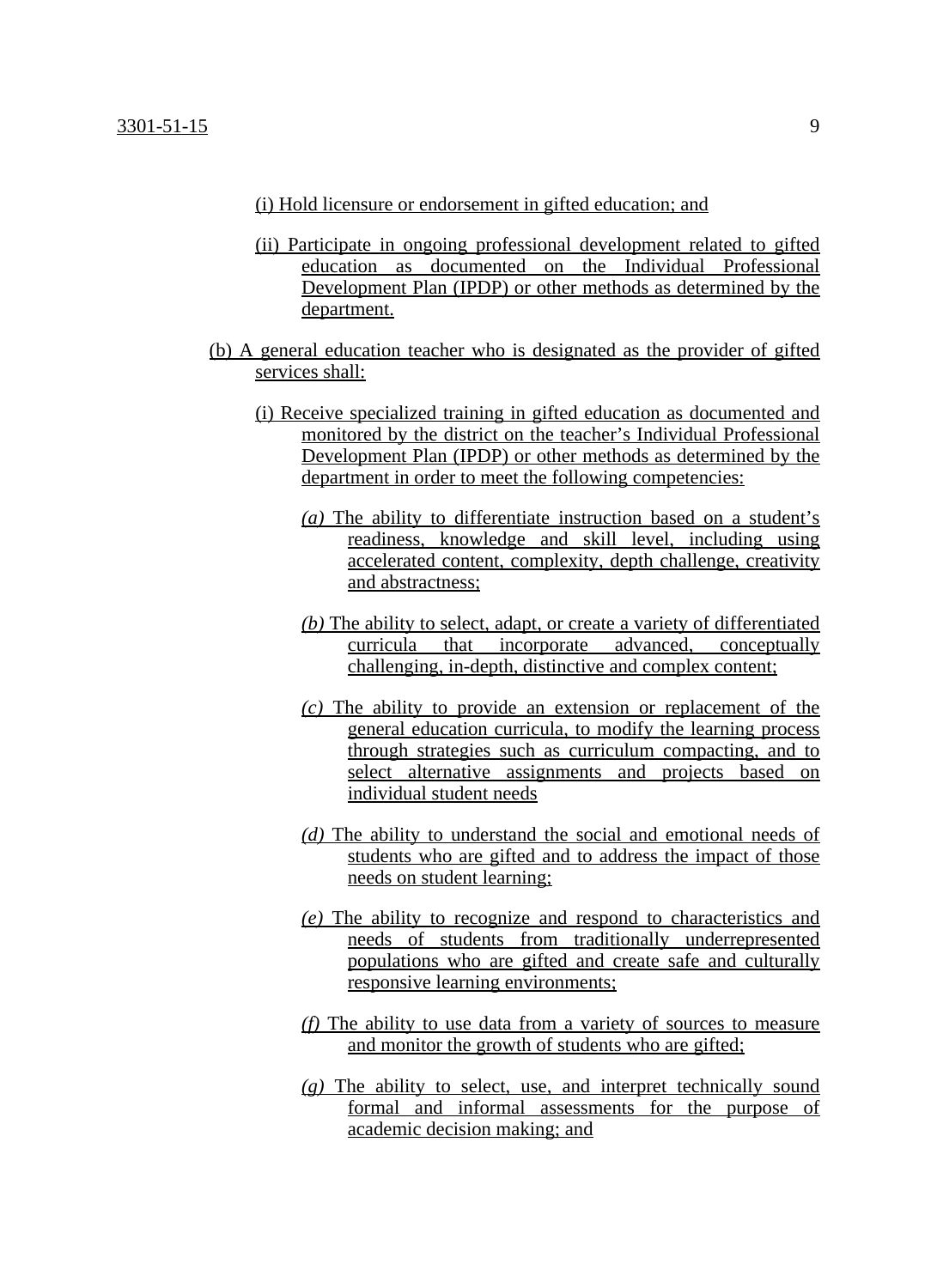#### (i) Hold licensure or endorsement in gifted education; and

- (ii) Participate in ongoing professional development related to gifted education as documented on the Individual Professional Development Plan (IPDP) or other methods as determined by the department.
- (b) A general education teacher who is designated as the provider of gifted services shall:
	- (i) Receive specialized training in gifted education as documented and monitored by the district on the teacher's Individual Professional Development Plan (IPDP) or other methods as determined by the department in order to meet the following competencies:
		- *(a)* The ability to differentiate instruction based on a student's readiness, knowledge and skill level, including using accelerated content, complexity, depth challenge, creativity and abstractness;
		- *(b)* The ability to select, adapt, or create a variety of differentiated curricula that incorporate advanced, conceptually challenging, in-depth, distinctive and complex content;
		- *(c)* The ability to provide an extension or replacement of the general education curricula, to modify the learning process through strategies such as curriculum compacting, and to select alternative assignments and projects based on individual student needs
		- *(d)* The ability to understand the social and emotional needs of students who are gifted and to address the impact of those needs on student learning;
		- *(e)* The ability to recognize and respond to characteristics and needs of students from traditionally underrepresented populations who are gifted and create safe and culturally responsive learning environments;
		- *(f)* The ability to use data from a variety of sources to measure and monitor the growth of students who are gifted;
		- *(g)* The ability to select, use, and interpret technically sound formal and informal assessments for the purpose of academic decision making; and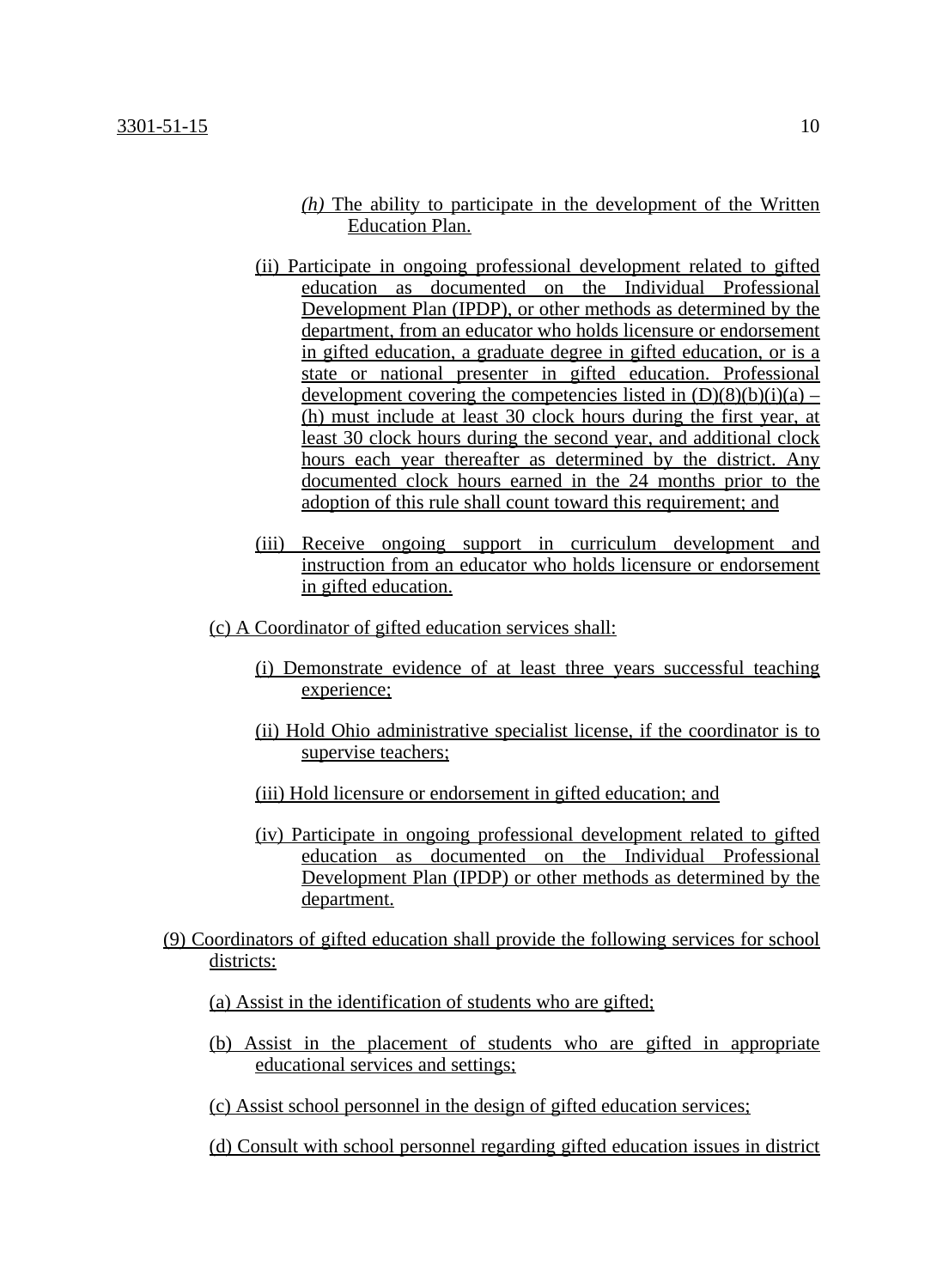- *(h)* The ability to participate in the development of the Written Education Plan.
- (ii) Participate in ongoing professional development related to gifted education as documented on the Individual Professional Development Plan (IPDP), or other methods as determined by the department, from an educator who holds licensure or endorsement in gifted education, a graduate degree in gifted education, or is a state or national presenter in gifted education. Professional development covering the competencies listed in  $(D)(8)(b)(i)(a) -$ (h) must include at least 30 clock hours during the first year, at least 30 clock hours during the second year, and additional clock hours each year thereafter as determined by the district. Any documented clock hours earned in the 24 months prior to the adoption of this rule shall count toward this requirement; and
- (iii) Receive ongoing support in curriculum development and instruction from an educator who holds licensure or endorsement in gifted education.
- (c) A Coordinator of gifted education services shall:
	- (i) Demonstrate evidence of at least three years successful teaching experience;
	- (ii) Hold Ohio administrative specialist license, if the coordinator is to supervise teachers;
	- (iii) Hold licensure or endorsement in gifted education; and
	- (iv) Participate in ongoing professional development related to gifted education as documented on the Individual Professional Development Plan (IPDP) or other methods as determined by the department.
- (9) Coordinators of gifted education shall provide the following services for school districts:
	- (a) Assist in the identification of students who are gifted;
	- (b) Assist in the placement of students who are gifted in appropriate educational services and settings;

(c) Assist school personnel in the design of gifted education services;

(d) Consult with school personnel regarding gifted education issues in district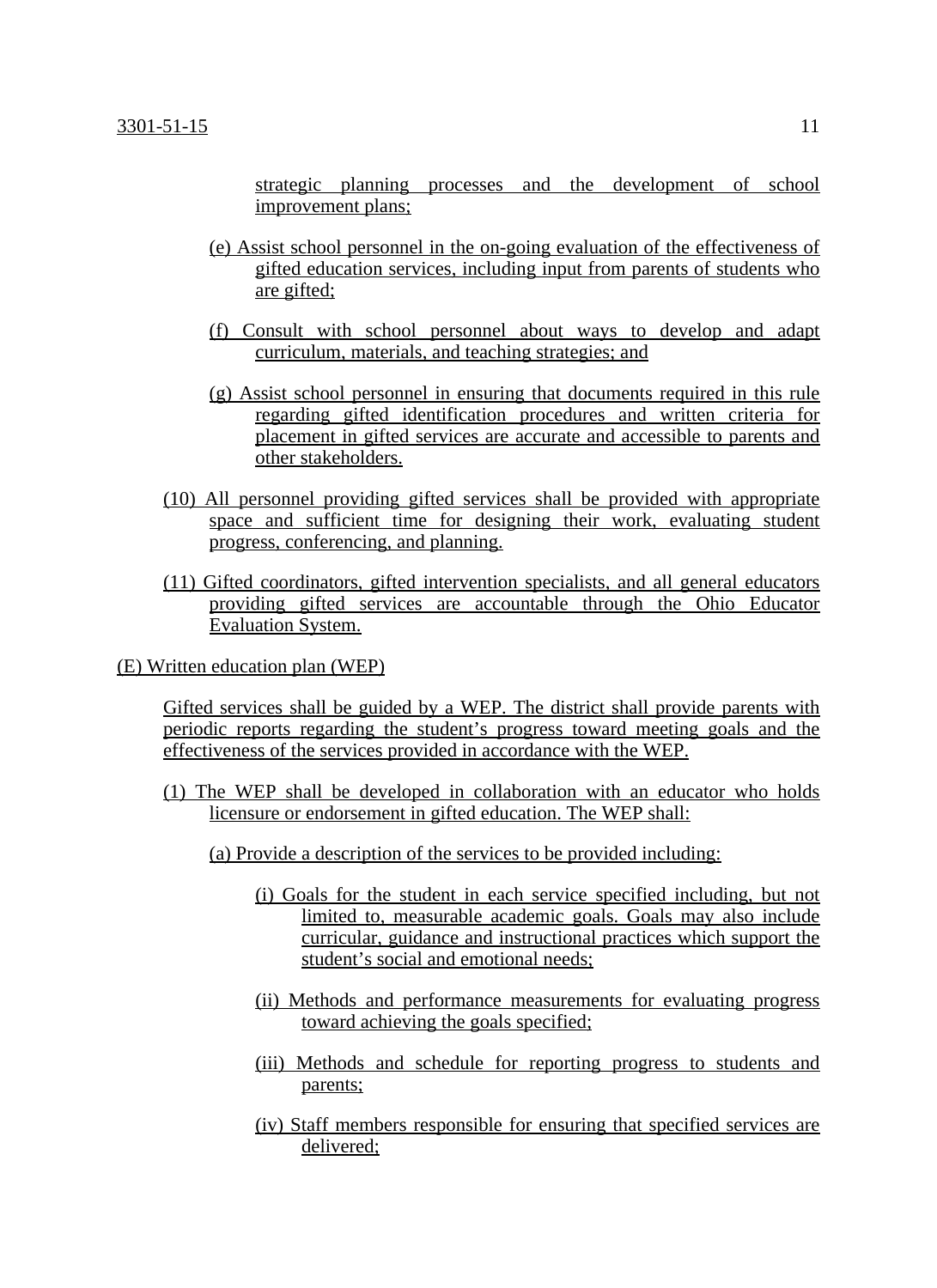strategic planning processes and the development of school improvement plans;

- (e) Assist school personnel in the on-going evaluation of the effectiveness of gifted education services, including input from parents of students who are gifted;
- (f) Consult with school personnel about ways to develop and adapt curriculum, materials, and teaching strategies; and
- (g) Assist school personnel in ensuring that documents required in this rule regarding gifted identification procedures and written criteria for placement in gifted services are accurate and accessible to parents and other stakeholders.
- (10) All personnel providing gifted services shall be provided with appropriate space and sufficient time for designing their work, evaluating student progress, conferencing, and planning.
- (11) Gifted coordinators, gifted intervention specialists, and all general educators providing gifted services are accountable through the Ohio Educator Evaluation System.
- (E) Written education plan (WEP)

Gifted services shall be guided by a WEP. The district shall provide parents with periodic reports regarding the student's progress toward meeting goals and the effectiveness of the services provided in accordance with the WEP.

- (1) The WEP shall be developed in collaboration with an educator who holds licensure or endorsement in gifted education. The WEP shall:
	- (a) Provide a description of the services to be provided including:
		- (i) Goals for the student in each service specified including, but not limited to, measurable academic goals. Goals may also include curricular, guidance and instructional practices which support the student's social and emotional needs;
		- (ii) Methods and performance measurements for evaluating progress toward achieving the goals specified;
		- (iii) Methods and schedule for reporting progress to students and parents;
		- (iv) Staff members responsible for ensuring that specified services are delivered;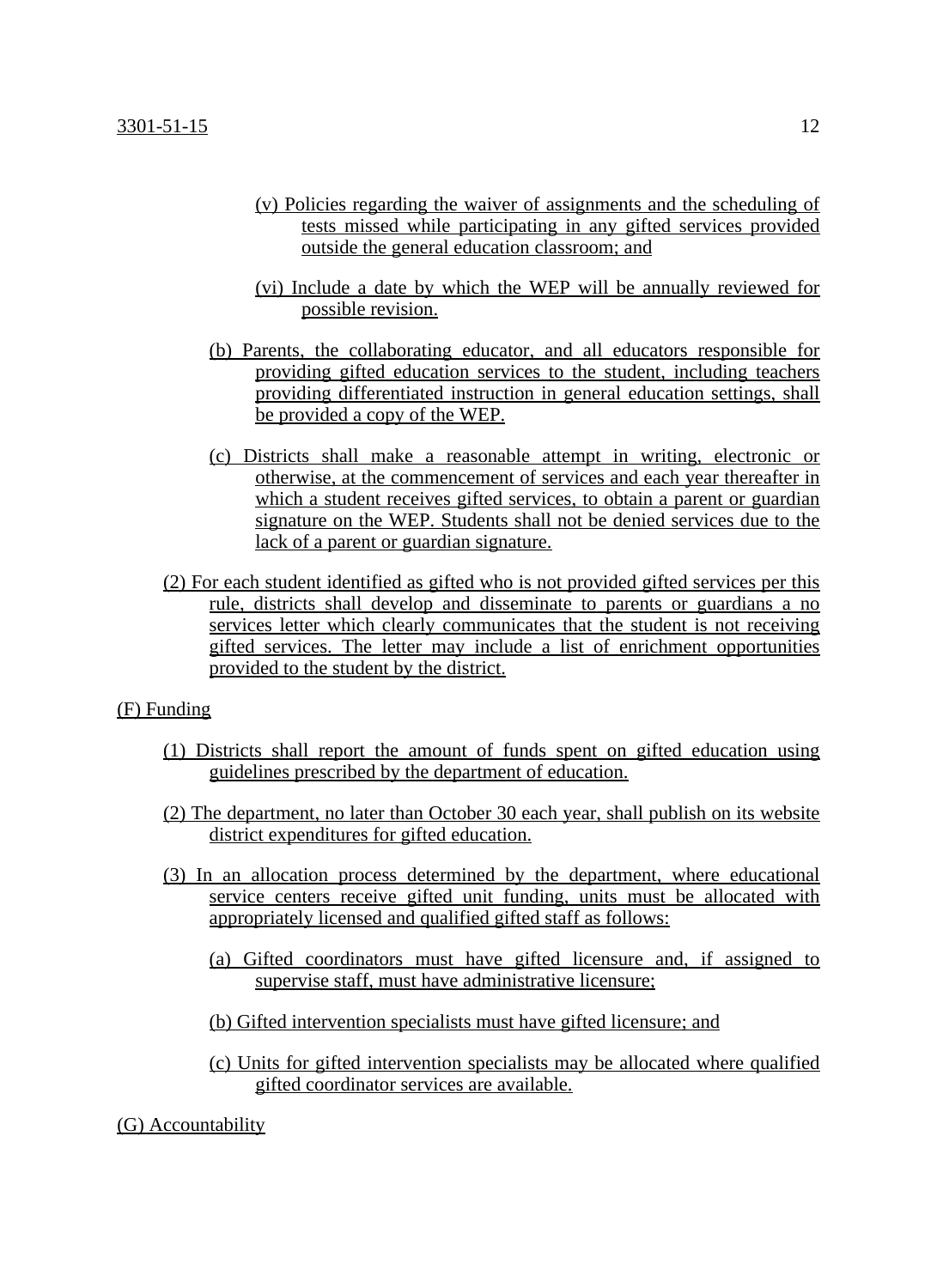- (v) Policies regarding the waiver of assignments and the scheduling of tests missed while participating in any gifted services provided outside the general education classroom; and
- (vi) Include a date by which the WEP will be annually reviewed for possible revision.
- (b) Parents, the collaborating educator, and all educators responsible for providing gifted education services to the student, including teachers providing differentiated instruction in general education settings, shall be provided a copy of the WEP.
- (c) Districts shall make a reasonable attempt in writing, electronic or otherwise, at the commencement of services and each year thereafter in which a student receives gifted services, to obtain a parent or guardian signature on the WEP. Students shall not be denied services due to the lack of a parent or guardian signature.
- (2) For each student identified as gifted who is not provided gifted services per this rule, districts shall develop and disseminate to parents or guardians a no services letter which clearly communicates that the student is not receiving gifted services. The letter may include a list of enrichment opportunities provided to the student by the district.

### (F) Funding

- (1) Districts shall report the amount of funds spent on gifted education using guidelines prescribed by the department of education.
- (2) The department, no later than October 30 each year, shall publish on its website district expenditures for gifted education.
- (3) In an allocation process determined by the department, where educational service centers receive gifted unit funding, units must be allocated with appropriately licensed and qualified gifted staff as follows:
	- (a) Gifted coordinators must have gifted licensure and, if assigned to supervise staff, must have administrative licensure;
	- (b) Gifted intervention specialists must have gifted licensure; and
	- (c) Units for gifted intervention specialists may be allocated where qualified gifted coordinator services are available.
- (G) Accountability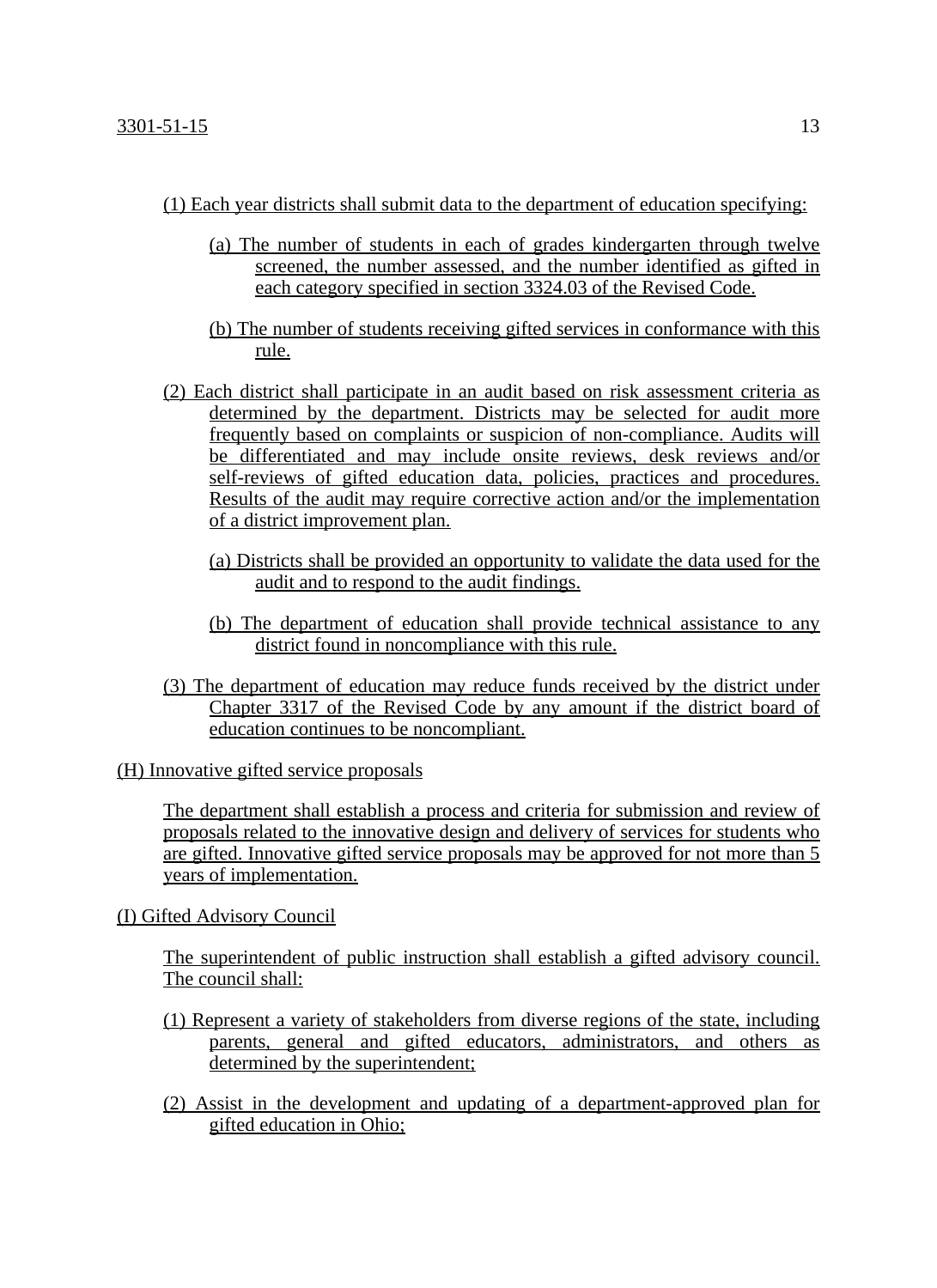- (1) Each year districts shall submit data to the department of education specifying:
	- (a) The number of students in each of grades kindergarten through twelve screened, the number assessed, and the number identified as gifted in each category specified in section 3324.03 of the Revised Code.
	- (b) The number of students receiving gifted services in conformance with this rule.
- (2) Each district shall participate in an audit based on risk assessment criteria as determined by the department. Districts may be selected for audit more frequently based on complaints or suspicion of non-compliance. Audits will be differentiated and may include onsite reviews, desk reviews and/or self-reviews of gifted education data, policies, practices and procedures. Results of the audit may require corrective action and/or the implementation of a district improvement plan.
	- (a) Districts shall be provided an opportunity to validate the data used for the audit and to respond to the audit findings.
	- (b) The department of education shall provide technical assistance to any district found in noncompliance with this rule.
- (3) The department of education may reduce funds received by the district under Chapter 3317 of the Revised Code by any amount if the district board of education continues to be noncompliant.

(H) Innovative gifted service proposals

The department shall establish a process and criteria for submission and review of proposals related to the innovative design and delivery of services for students who are gifted. Innovative gifted service proposals may be approved for not more than 5 years of implementation.

# (I) Gifted Advisory Council

The superintendent of public instruction shall establish a gifted advisory council. The council shall:

- (1) Represent a variety of stakeholders from diverse regions of the state, including parents, general and gifted educators, administrators, and others as determined by the superintendent;
- (2) Assist in the development and updating of a department-approved plan for gifted education in Ohio;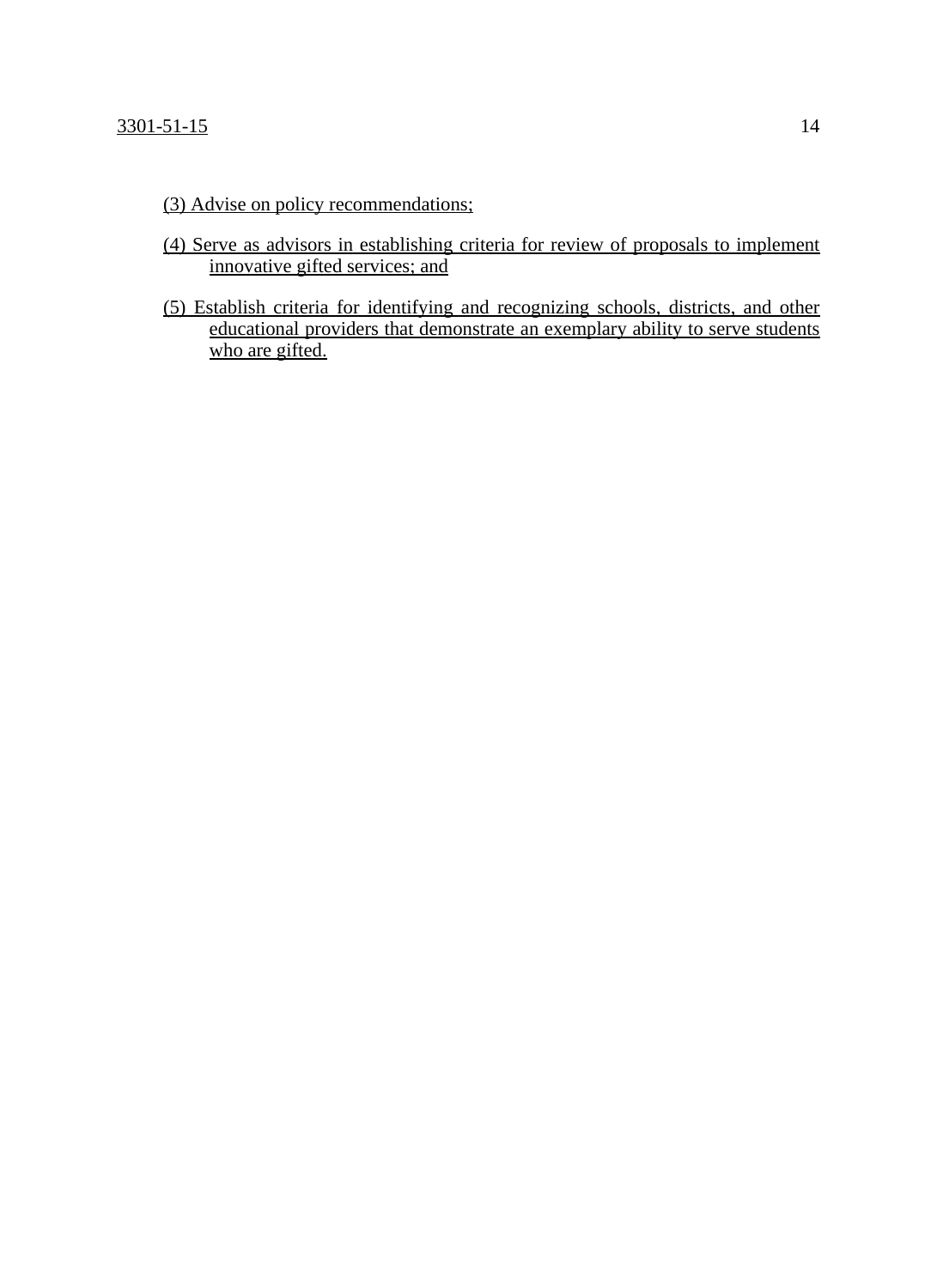- (3) Advise on policy recommendations;
- (4) Serve as advisors in establishing criteria for review of proposals to implement innovative gifted services; and
- (5) Establish criteria for identifying and recognizing schools, districts, and other educational providers that demonstrate an exemplary ability to serve students who are gifted.